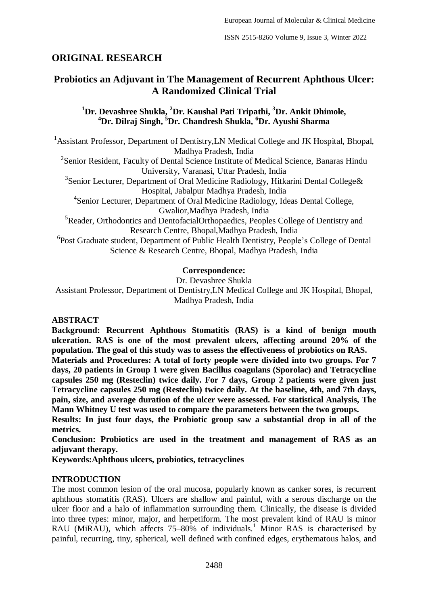# **ORIGINAL RESEARCH**

# **Probiotics an Adjuvant in The Management of Recurrent Aphthous Ulcer: A Randomized Clinical Trial**

**<sup>1</sup>Dr. Devashree Shukla, <sup>2</sup>Dr. Kaushal Pati Tripathi, <sup>3</sup>Dr. Ankit Dhimole, <sup>4</sup>Dr. Dilraj Singh, <sup>5</sup>Dr. Chandresh Shukla, <sup>6</sup>Dr. Ayushi Sharma**

<sup>1</sup>Assistant Professor, Department of Dentistry, LN Medical College and JK Hospital, Bhopal, Madhya Pradesh, India

<sup>2</sup>Senior Resident, Faculty of Dental Science Institute of Medical Science, Banaras Hindu University, Varanasi, Uttar Pradesh, India

<sup>3</sup>Senior Lecturer, Department of Oral Medicine Radiology, Hitkarini Dental College& Hospital, Jabalpur Madhya Pradesh, India

4 Senior Lecturer, Department of Oral Medicine Radiology, Ideas Dental College, Gwalior,Madhya Pradesh, India

<sup>5</sup>Reader, Orthodontics and DentofacialOrthopaedics, Peoples College of Dentistry and Research Centre, Bhopal,Madhya Pradesh, India

<sup>6</sup>Post Graduate student, Department of Public Health Dentistry, People's College of Dental Science & Research Centre, Bhopal, Madhya Pradesh, India

### **Correspondence:**

Dr. Devashree Shukla Assistant Professor, Department of Dentistry,LN Medical College and JK Hospital, Bhopal, Madhya Pradesh, India

#### **ABSTRACT**

**Background: Recurrent Aphthous Stomatitis (RAS) is a kind of benign mouth ulceration. RAS is one of the most prevalent ulcers, affecting around 20% of the population. The goal of this study was to assess the effectiveness of probiotics on RAS.**

**Materials and Procedures: A total of forty people were divided into two groups. For 7 days, 20 patients in Group 1 were given Bacillus coagulans (Sporolac) and Tetracycline capsules 250 mg (Resteclin) twice daily. For 7 days, Group 2 patients were given just Tetracycline capsules 250 mg (Resteclin) twice daily. At the baseline, 4th, and 7th days, pain, size, and average duration of the ulcer were assessed. For statistical Analysis, The Mann Whitney U test was used to compare the parameters between the two groups.**

**Results: In just four days, the Probiotic group saw a substantial drop in all of the metrics.**

**Conclusion: Probiotics are used in the treatment and management of RAS as an adjuvant therapy.**

**Keywords:Aphthous ulcers, probiotics, tetracyclines**

# **INTRODUCTION**

The most common lesion of the oral mucosa, popularly known as canker sores, is recurrent aphthous stomatitis (RAS). Ulcers are shallow and painful, with a serous discharge on the ulcer floor and a halo of inflammation surrounding them. Clinically, the disease is divided into three types: minor, major, and herpetiform. The most prevalent kind of RAU is minor RAU (MiRAU), which affects  $75-80\%$  of individuals.<sup>1</sup> Minor RAS is characterised by painful, recurring, tiny, spherical, well defined with confined edges, erythematous halos, and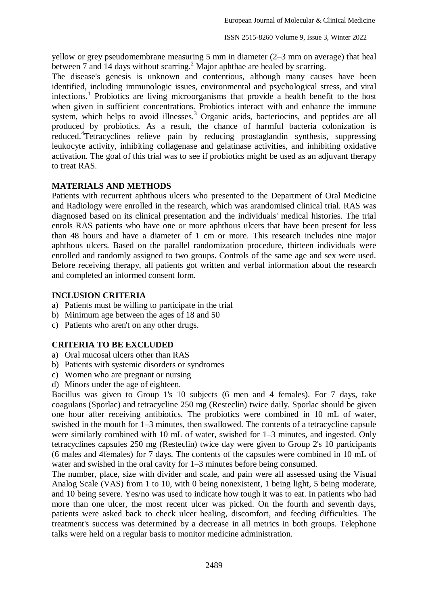yellow or grey pseudomembrane measuring 5 mm in diameter (2–3 mm on average) that heal between 7 and 14 days without scarring.<sup>2</sup> Major aphthae are healed by scarring.

The disease's genesis is unknown and contentious, although many causes have been identified, including immunologic issues, environmental and psychological stress, and viral infections.<sup>1</sup> Probiotics are living microorganisms that provide a health benefit to the host when given in sufficient concentrations. Probiotics interact with and enhance the immune system, which helps to avoid illnesses.<sup>3</sup> Organic acids, bacteriocins, and peptides are all produced by probiotics. As a result, the chance of harmful bacteria colonization is reduced.<sup>4</sup> Tetracyclines relieve pain by reducing prostaglandin synthesis, suppressing leukocyte activity, inhibiting collagenase and gelatinase activities, and inhibiting oxidative activation. The goal of this trial was to see if probiotics might be used as an adjuvant therapy to treat RAS.

### **MATERIALS AND METHODS**

Patients with recurrent aphthous ulcers who presented to the Department of Oral Medicine and Radiology were enrolled in the research, which was arandomised clinical trial. RAS was diagnosed based on its clinical presentation and the individuals' medical histories. The trial enrols RAS patients who have one or more aphthous ulcers that have been present for less than 48 hours and have a diameter of 1 cm or more. This research includes nine major aphthous ulcers. Based on the parallel randomization procedure, thirteen individuals were enrolled and randomly assigned to two groups. Controls of the same age and sex were used. Before receiving therapy, all patients got written and verbal information about the research and completed an informed consent form.

### **INCLUSION CRITERIA**

- a) Patients must be willing to participate in the trial
- b) Minimum age between the ages of 18 and 50
- c) Patients who aren't on any other drugs.

# **CRITERIA TO BE EXCLUDED**

- a) Oral mucosal ulcers other than RAS
- b) Patients with systemic disorders or syndromes
- c) Women who are pregnant or nursing
- d) Minors under the age of eighteen.

Bacillus was given to Group 1's 10 subjects (6 men and 4 females). For 7 days, take coagulans (Sporlac) and tetracycline 250 mg (Resteclin) twice daily. Sporlac should be given one hour after receiving antibiotics. The probiotics were combined in 10 mL of water, swished in the mouth for 1–3 minutes, then swallowed. The contents of a tetracycline capsule were similarly combined with 10 mL of water, swished for 1–3 minutes, and ingested. Only tetracyclines capsules 250 mg (Resteclin) twice day were given to Group 2's 10 participants (6 males and 4females) for 7 days. The contents of the capsules were combined in 10 mL of water and swished in the oral cavity for 1–3 minutes before being consumed.

The number, place, size with divider and scale, and pain were all assessed using the Visual Analog Scale (VAS) from 1 to 10, with 0 being nonexistent, 1 being light, 5 being moderate, and 10 being severe. Yes/no was used to indicate how tough it was to eat. In patients who had more than one ulcer, the most recent ulcer was picked. On the fourth and seventh days, patients were asked back to check ulcer healing, discomfort, and feeding difficulties. The treatment's success was determined by a decrease in all metrics in both groups. Telephone talks were held on a regular basis to monitor medicine administration.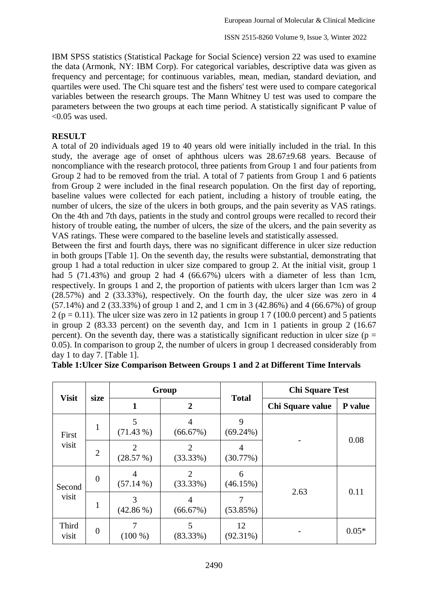IBM SPSS statistics (Statistical Package for Social Science) version 22 was used to examine the data (Armonk, NY: IBM Corp). For categorical variables, descriptive data was given as frequency and percentage; for continuous variables, mean, median, standard deviation, and quartiles were used. The Chi square test and the fishers' test were used to compare categorical variables between the research groups. The Mann Whitney U test was used to compare the parameters between the two groups at each time period. A statistically significant P value of  $< 0.05$  was used.

## **RESULT**

A total of 20 individuals aged 19 to 40 years old were initially included in the trial. In this study, the average age of onset of aphthous ulcers was 28.67±9.68 years. Because of noncompliance with the research protocol, three patients from Group 1 and four patients from Group 2 had to be removed from the trial. A total of 7 patients from Group 1 and 6 patients from Group 2 were included in the final research population. On the first day of reporting, baseline values were collected for each patient, including a history of trouble eating, the number of ulcers, the size of the ulcers in both groups, and the pain severity as VAS ratings. On the 4th and 7th days, patients in the study and control groups were recalled to record their history of trouble eating, the number of ulcers, the size of the ulcers, and the pain severity as VAS ratings. These were compared to the baseline levels and statistically assessed.

Between the first and fourth days, there was no significant difference in ulcer size reduction in both groups [Table 1]. On the seventh day, the results were substantial, demonstrating that group 1 had a total reduction in ulcer size compared to group 2. At the initial visit, group 1 had 5 (71.43%) and group 2 had 4 (66.67%) ulcers with a diameter of less than 1cm, respectively. In groups 1 and 2, the proportion of patients with ulcers larger than 1cm was 2 (28.57%) and 2 (33.33%), respectively. On the fourth day, the ulcer size was zero in 4 (57.14%) and 2 (33.33%) of group 1 and 2, and 1 cm in 3 (42.86%) and 4 (66.67%) of group  $2 (p = 0.11)$ . The ulcer size was zero in 12 patients in group 1 7 (100.0 percent) and 5 patients in group 2 (83.33 percent) on the seventh day, and 1cm in 1 patients in group 2 (16.67 percent). On the seventh day, there was a statistically significant reduction in ulcer size ( $p =$ 0.05). In comparison to group 2, the number of ulcers in group 1 decreased considerably from day 1 to day 7. [Table 1].

| <b>Visit</b>    |                  | Group            |                            | <b>Total</b>      | <b>Chi Square Test</b> |         |  |
|-----------------|------------------|------------------|----------------------------|-------------------|------------------------|---------|--|
|                 | size             |                  | $\overline{2}$             |                   | Chi Square value       | P value |  |
| First<br>visit  | 1                | 5<br>(71.43%)    | $\overline{4}$<br>(66.67%) | 9<br>$(69.24\%)$  |                        | 0.08    |  |
|                 | $\overline{2}$   | 2<br>(28.57%)    | 2<br>(33.33%)              | 4<br>(30.77%)     |                        |         |  |
| Second<br>visit | $\overline{0}$   | 4<br>$(57.14\%)$ | $\mathfrak{D}$<br>(33.33%) | 6<br>(46.15%)     | 2.63                   | 0.11    |  |
|                 | 1                | 3<br>$(42.86\%)$ | 4<br>(66.67%)              | (53.85%)          |                        |         |  |
| Third<br>visit  | $\boldsymbol{0}$ | $(100\%)$        | 5<br>$(83.33\%)$           | 12<br>$(92.31\%)$ |                        | $0.05*$ |  |

|  |  |  |  | Table 1: Ulcer Size Comparison Between Groups 1 and 2 at Different Time Intervals |  |  |
|--|--|--|--|-----------------------------------------------------------------------------------|--|--|
|  |  |  |  |                                                                                   |  |  |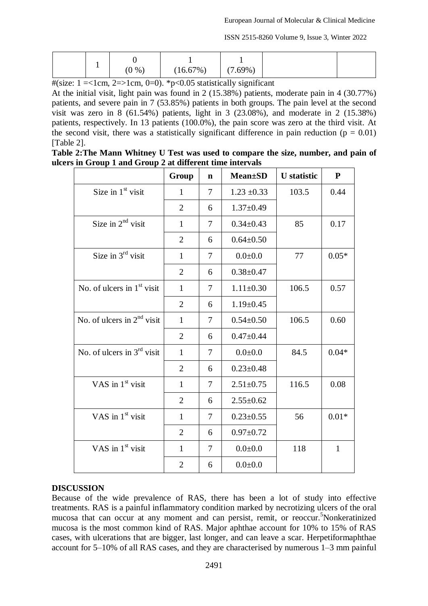ISSN 2515-8260 Volume 9, Issue 3, Winter 2022

|  | $(7.69\%)$ | (16.67%) | (0, 96) |  |  |
|--|------------|----------|---------|--|--|
|--|------------|----------|---------|--|--|

 $\#$ (size: 1 = < 1 cm, 2 = > 1 cm, 0 = 0). \* p < 0.05 statistically significant

At the initial visit, light pain was found in 2 (15.38%) patients, moderate pain in 4 (30.77%) patients, and severe pain in 7 (53.85%) patients in both groups. The pain level at the second visit was zero in 8 (61.54%) patients, light in 3 (23.08%), and moderate in 2 (15.38%) patients, respectively. In 13 patients (100.0%), the pain score was zero at the third visit. At the second visit, there was a statistically significant difference in pain reduction ( $p = 0.01$ ) [Table 2].

**Table 2:The Mann Whitney U Test was used to compare the size, number, and pain of ulcers in Group 1 and Group 2 at different time intervals**

|                              | Group          | n                        | <b>Mean±SD</b>  | <b>U</b> statistic | ${\bf P}$    |
|------------------------------|----------------|--------------------------|-----------------|--------------------|--------------|
| Size in $1st$ visit          | 1              | $\tau$                   | $1.23 \pm 0.33$ | 103.5              | 0.44         |
|                              | $\overline{2}$ | 6                        | $1.37 \pm 0.49$ |                    |              |
| Size in $2nd$ visit          | $\mathbf{1}$   | $\tau$                   | $0.34 \pm 0.43$ | 85                 | 0.17         |
|                              | $\overline{2}$ | 6                        | $0.64 \pm 0.50$ |                    |              |
| Size in $3rd$ visit          | 1              | 7                        | $0.0 + 0.0$     | 77                 | $0.05*$      |
|                              | $\overline{2}$ | 6                        | $0.38 \pm 0.47$ |                    |              |
| No. of ulcers in $1st$ visit | 1              | 7                        | $1.11 \pm 0.30$ | 106.5              | 0.57         |
|                              | $\overline{2}$ | 6                        | $1.19 \pm 0.45$ |                    |              |
| No. of ulcers in $2nd$ visit | 1              | 7                        | $0.54 \pm 0.50$ | 106.5              | 0.60         |
|                              | $\overline{2}$ | 6                        | $0.47 + 0.44$   |                    |              |
| No. of ulcers in $3rd$ visit | $\mathbf{1}$   | 7                        | $0.0 + 0.0$     | 84.5               | $0.04*$      |
|                              | $\overline{2}$ | 6                        | $0.23 \pm 0.48$ |                    |              |
| VAS in $1st$ visit           | $\mathbf{1}$   | $\overline{\mathcal{L}}$ | $2.51 \pm 0.75$ | 116.5              | 0.08         |
|                              | $\overline{2}$ | 6                        | $2.55 \pm 0.62$ |                    |              |
| VAS in $1st$ visit           | $\mathbf{1}$   | $\overline{\mathcal{L}}$ | $0.23 \pm 0.55$ | 56                 | $0.01*$      |
|                              | $\overline{2}$ | 6                        | $0.97 \pm 0.72$ |                    |              |
| VAS in $1st$ visit           | $\mathbf{1}$   | $\tau$                   | $0.0 + 0.0$     | 118                | $\mathbf{1}$ |
|                              | $\overline{2}$ | 6                        | $0.0 + 0.0$     |                    |              |

# **DISCUSSION**

Because of the wide prevalence of RAS, there has been a lot of study into effective treatments. RAS is a painful inflammatory condition marked by necrotizing ulcers of the oral mucosa that can occur at any moment and can persist, remit, or reoccur. <sup>5</sup>Nonkeratinized mucosa is the most common kind of RAS. Major aphthae account for 10% to 15% of RAS cases, with ulcerations that are bigger, last longer, and can leave a scar. Herpetiformaphthae account for 5–10% of all RAS cases, and they are characterised by numerous 1–3 mm painful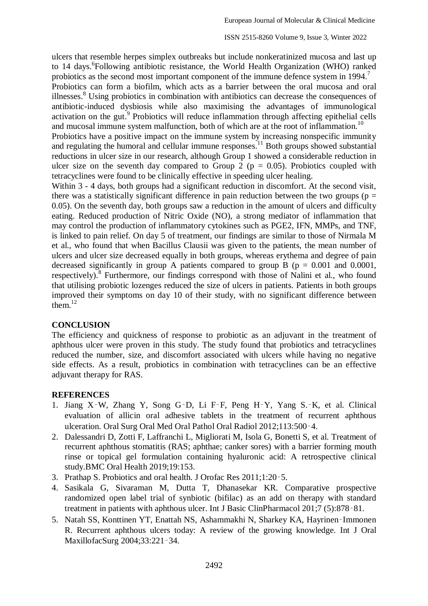ulcers that resemble herpes simplex outbreaks but include nonkeratinized mucosa and last up to 14 days.<sup>6</sup>Following antibiotic resistance, the World Health Organization (WHO) ranked probiotics as the second most important component of the immune defence system in 1994.<sup>7</sup>

Probiotics can form a biofilm, which acts as a barrier between the oral mucosa and oral illnesses.<sup>8</sup> Using probiotics in combination with antibiotics can decrease the consequences of antibiotic-induced dysbiosis while also maximising the advantages of immunological activation on the gut.<sup>9</sup> Probiotics will reduce inflammation through affecting epithelial cells and mucosal immune system malfunction, both of which are at the root of inflammation.<sup>10</sup>

Probiotics have a positive impact on the immune system by increasing nonspecific immunity and regulating the humoral and cellular immune responses.<sup>11</sup> Both groups showed substantial reductions in ulcer size in our research, although Group 1 showed a considerable reduction in ulcer size on the seventh day compared to Group 2 ( $p = 0.05$ ). Probiotics coupled with tetracyclines were found to be clinically effective in speeding ulcer healing.

Within 3 - 4 days, both groups had a significant reduction in discomfort. At the second visit, there was a statistically significant difference in pain reduction between the two groups ( $p =$ 0.05). On the seventh day, both groups saw a reduction in the amount of ulcers and difficulty eating. Reduced production of Nitric Oxide (NO), a strong mediator of inflammation that may control the production of inflammatory cytokines such as PGE2, IFN, MMPs, and TNF, is linked to pain relief. On day 5 of treatment, our findings are similar to those of Nirmala M et al., who found that when Bacillus Clausii was given to the patients, the mean number of ulcers and ulcer size decreased equally in both groups, whereas erythema and degree of pain decreased significantly in group A patients compared to group B ( $p = 0.001$  and 0.0001, respectively).<sup>8</sup> Furthermore, our findings correspond with those of Nalini et al., who found that utilising probiotic lozenges reduced the size of ulcers in patients. Patients in both groups improved their symptoms on day 10 of their study, with no significant difference between them. $12$ 

#### **CONCLUSION**

The efficiency and quickness of response to probiotic as an adjuvant in the treatment of aphthous ulcer were proven in this study. The study found that probiotics and tetracyclines reduced the number, size, and discomfort associated with ulcers while having no negative side effects. As a result, probiotics in combination with tetracyclines can be an effective adjuvant therapy for RAS.

#### **REFERENCES**

- 1. Jiang X‑W, Zhang Y, Song G‑D, Li F‑F, Peng H‑Y, Yang S.‑K, et al. Clinical evaluation of allicin oral adhesive tablets in the treatment of recurrent aphthous ulceration. Oral Surg Oral Med Oral Pathol Oral Radiol 2012;113:500‑4.
- 2. Dalessandri D, Zotti F, Laffranchi L, Migliorati M, Isola G, Bonetti S, et al. Treatment of recurrent aphthous stomatitis (RAS; aphthae; canker sores) with a barrier forming mouth rinse or topical gel formulation containing hyaluronic acid: A retrospective clinical study.BMC Oral Health 2019;19:153.
- 3. Prathap S. Probiotics and oral health. J Orofac Res 2011;1:20‑5.
- 4. Sasikala G, Sivaraman M, Dutta T, Dhanasekar KR. Comparative prospective randomized open label trial of synbiotic (bifilac) as an add on therapy with standard treatment in patients with aphthous ulcer. Int J Basic ClinPharmacol 201;7 (5):878‑81.
- 5. Natah SS, Konttinen YT, Enattah NS, Ashammakhi N, Sharkey KA, Hayrinen‑Immonen R. Recurrent aphthous ulcers today: A review of the growing knowledge. Int J Oral MaxillofacSurg 2004;33:221‑34.